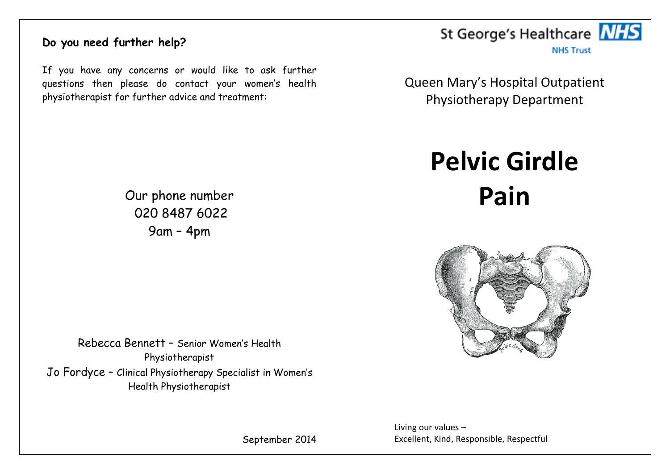# **Do you need further help?**

If you have any concerns or would like to ask further questions then please do contact your women's health physiotherapist for further advice and treatment:



**NHS Trust** 

Queen Mary's Hospital Outpatient Physiotherapy Department

> **Pelvic Girdle Pain**



Rebecca Bennett – Senior Women's Health Physiotherapist

Jo Fordyce – Clinical Physiotherapy Specialist in Women's Health Physiotherapist

September 2014

Living our values – Excellent, Kind, Responsible, Respectful

Our phone number 020 8487 6022 9am – 4pm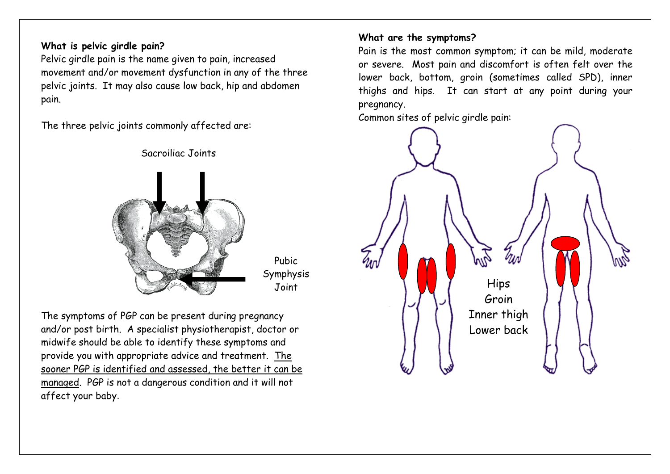#### **What is pelvic girdle pain?**

Pelvic girdle pain is the name given to pain, increased movement and/or movement dysfunction in any of the three pelvic joints. It may also cause low back, hip and abdomen pain.

Sacroiliac Joints

The three pelvic joints commonly affected are:



Pubic Symphysis

The symptoms of PGP can be present during pregnancy and/or post birth. A specialist physiotherapist, doctor or midwife should be able to identify these symptoms and provide you with appropriate advice and treatment. The sooner PGP is identified and assessed, the better it can be managed. PGP is not a dangerous condition and it will not affect your baby.

#### **What are the symptoms?**

Pain is the most common symptom; it can be mild, moderate or severe. Most pain and discomfort is often felt over the lower back, bottom, groin (sometimes called SPD), inner thighs and hips. It can start at any point during your pregnancy.

Common sites of pelvic girdle pain:

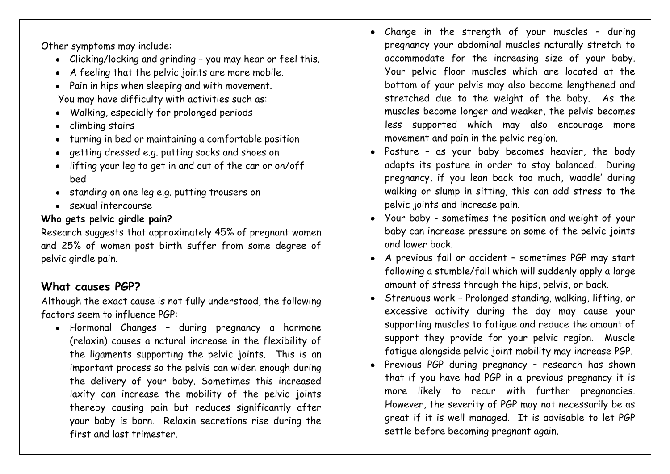Other symptoms may include:

- Clicking/locking and grinding you may hear or feel this.
- A feeling that the pelvic joints are more mobile.
- Pain in hips when sleeping and with movement. You may have difficulty with activities such as:
- Walking, especially for prolonged periods
- climbing stairs
- turning in bed or maintaining a comfortable position
- getting dressed e.g. putting socks and shoes on
- lifting your leg to get in and out of the car or on/off bed
- standing on one leg e.g. putting trousers on
- sexual intercourse

## **Who gets pelvic girdle pain?**

Research suggests that approximately 45% of pregnant women and 25% of women post birth suffer from some degree of pelvic girdle pain.

# **What causes PGP?**

Although the exact cause is not fully understood, the following factors seem to influence PGP:

Hormonal Changes – during pregnancy a hormone (relaxin) causes a natural increase in the flexibility of the ligaments supporting the pelvic joints. This is an important process so the pelvis can widen enough during the delivery of your baby. Sometimes this increased laxity can increase the mobility of the pelvic joints thereby causing pain but reduces significantly after your baby is born. Relaxin secretions rise during the first and last trimester.

- Change in the strength of your muscles during pregnancy your abdominal muscles naturally stretch to accommodate for the increasing size of your baby. Your pelvic floor muscles which are located at the bottom of your pelvis may also become lengthened and stretched due to the weight of the baby. As the muscles become longer and weaker, the pelvis becomes less supported which may also encourage more movement and pain in the pelvic region.
- Posture as your baby becomes heavier, the body adapts its posture in order to stay balanced. During pregnancy, if you lean back too much, 'waddle' during walking or slump in sitting, this can add stress to the pelvic joints and increase pain.
- Your baby sometimes the position and weight of your baby can increase pressure on some of the pelvic joints and lower back.
- A previous fall or accident sometimes PGP may start following a stumble/fall which will suddenly apply a large amount of stress through the hips, pelvis, or back.
- Strenuous work Prolonged standing, walking, lifting, or excessive activity during the day may cause your supporting muscles to fatigue and reduce the amount of support they provide for your pelvic region. Muscle fatigue alongside pelvic joint mobility may increase PGP.
- Previous PGP during pregnancy research has shown that if you have had PGP in a previous pregnancy it is more likely to recur with further pregnancies. However, the severity of PGP may not necessarily be as great if it is well managed. It is advisable to let PGP settle before becoming pregnant again.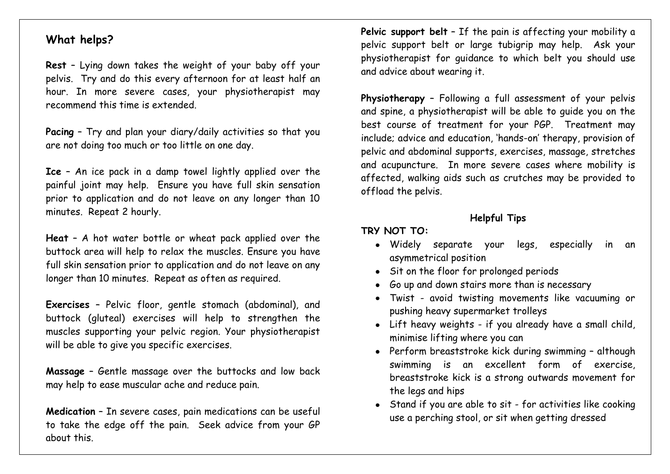#### **What helps?**

**Rest** – Lying down takes the weight of your baby off your pelvis. Try and do this every afternoon for at least half an hour. In more severe cases, your physiotherapist may recommend this time is extended.

**Pacing** – Try and plan your diary/daily activities so that you are not doing too much or too little on one day.

**Ice** – An ice pack in a damp towel lightly applied over the painful joint may help. Ensure you have full skin sensation prior to application and do not leave on any longer than 10 minutes. Repeat 2 hourly.

**Heat** – A hot water bottle or wheat pack applied over the buttock area will help to relax the muscles. Ensure you have full skin sensation prior to application and do not leave on any longer than 10 minutes. Repeat as often as required.

**Exercises** – Pelvic floor, gentle stomach (abdominal), and buttock (gluteal) exercises will help to strengthen the muscles supporting your pelvic region. Your physiotherapist will be able to give you specific exercises.

**Massage** – Gentle massage over the buttocks and low back may help to ease muscular ache and reduce pain.

**Medication** – In severe cases, pain medications can be useful to take the edge off the pain. Seek advice from your GP about this.

Pelvic support belt - If the pain is affecting your mobility a pelvic support belt or large tubigrip may help. Ask your physiotherapist for guidance to which belt you should use and advice about wearing it.

**Physiotherapy** – Following a full assessment of your pelvis and spine, a physiotherapist will be able to guide you on the best course of treatment for your PGP. Treatment may include; advice and education, 'hands-on' therapy, provision of pelvic and abdominal supports, exercises, massage, stretches and acupuncture. In more severe cases where mobility is affected, walking aids such as crutches may be provided to offload the pelvis.

## **Helpful Tips**

#### **TRY NOT TO:**

- Widely separate your legs, especially in an asymmetrical position
- Sit on the floor for prolonged periods
- Go up and down stairs more than is necessary
- Twist avoid twisting movements like vacuuming or pushing heavy supermarket trolleys
- Lift heavy weights if you already have a small child, minimise lifting where you can
- Perform breaststroke kick during swimming although swimming is an excellent form of exercise, breaststroke kick is a strong outwards movement for the legs and hips
- Stand if you are able to sit for activities like cooking use a perching stool, or sit when getting dressed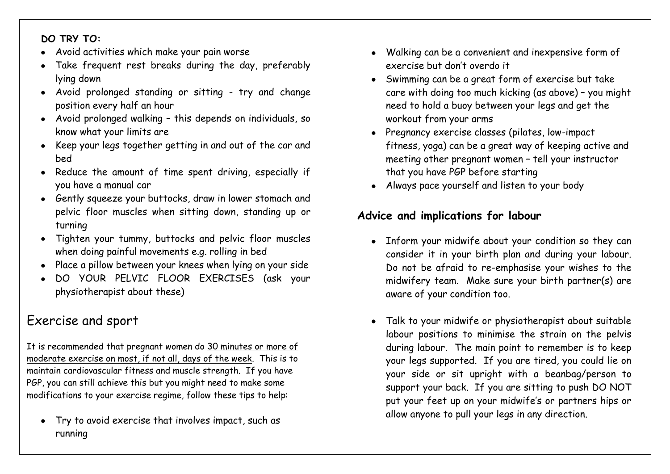#### **DO TRY TO:**

- Avoid activities which make your pain worse
- Take frequent rest breaks during the day, preferably lying down
- Avoid prolonged standing or sitting try and change position every half an hour
- Avoid prolonged walking this depends on individuals, so know what your limits are
- Keep your legs together getting in and out of the car and bed
- Reduce the amount of time spent driving, especially if you have a manual car
- Gently squeeze your buttocks, draw in lower stomach and pelvic floor muscles when sitting down, standing up or turning
- Tighten your tummy, buttocks and pelvic floor muscles when doing painful movements e.g. rolling in bed
- Place a pillow between your knees when lying on your side
- DO YOUR PELVIC FLOOR EXERCISES (ask your physiotherapist about these)

# Exercise and sport

It is recommended that pregnant women do 30 minutes or more of moderate exercise on most, if not all, days of the week. This is to maintain cardiovascular fitness and muscle strength. If you have PGP, you can still achieve this but you might need to make some modifications to your exercise regime, follow these tips to help:

Try to avoid exercise that involves impact, such as running

- Walking can be a convenient and inexpensive form of  $\bullet$ exercise but don't overdo it
- Swimming can be a great form of exercise but take care with doing too much kicking (as above) – you might need to hold a buoy between your legs and get the workout from your arms
- Pregnancy exercise classes (pilates, low-impact fitness, yoga) can be a great way of keeping active and meeting other pregnant women – tell your instructor that you have PGP before starting
- Always pace yourself and listen to your body

# **Advice and implications for labour**

- Inform your midwife about your condition so they can consider it in your birth plan and during your labour. Do not be afraid to re-emphasise your wishes to the midwifery team. Make sure your birth partner(s) are aware of your condition too.
- Talk to your midwife or physiotherapist about suitable  $\bullet$ labour positions to minimise the strain on the pelvis during labour. The main point to remember is to keep your legs supported. If you are tired, you could lie on your side or sit upright with a beanbag/person to support your back. If you are sitting to push DO NOT put your feet up on your midwife's or partners hips or allow anyone to pull your legs in any direction.